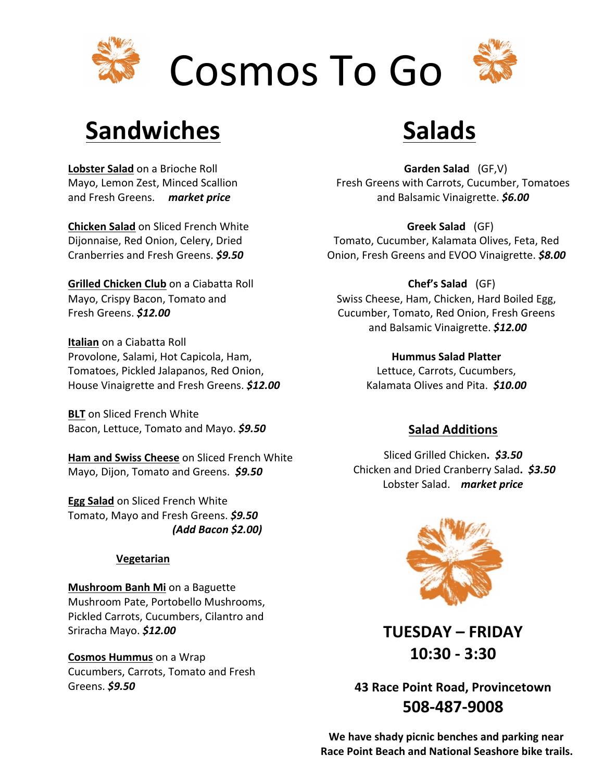

## **Sandwiches**

**Lobster Salad** on a Brioche Roll Mayo, Lemon Zest, Minced Scallion and Fresh Greens. *market price* 

**Chicken Salad** on Sliced French White Dijonnaise, Red Onion, Celery, Dried Cranberries and Fresh Greens. **\$9.50** 

**Grilled Chicken Club** on a Ciabatta Roll Mayo, Crispy Bacon, Tomato and Fresh Greens. *\$12.00*

**Italian** on a Ciabatta Roll Provolone, Salami, Hot Capicola, Ham, Tomatoes, Pickled Jalapanos, Red Onion, House Vinaigrette and Fresh Greens. *\$12.00*

**BLT** on Sliced French White Bacon, Lettuce, Tomato and Mayo. **\$9.50** 

**Ham and Swiss Cheese** on Sliced French White Mayo, Dijon, Tomato and Greens. \$9.50

**Egg Salad** on Sliced French White Tomato, Mayo and Fresh Greens. **\$9.50**  *(Add Bacon \$2.00)*

#### **Vegetarian**

**Mushroom Banh Mi** on a Baguette Mushroom Pate, Portobello Mushrooms, Pickled Carrots, Cucumbers, Cilantro and Sriracha Mayo. \$12.00

**Cosmos Hummus** on a Wrap Cucumbers, Carrots, Tomato and Fresh Greens. *\$9.50*

# **Salads**

**Garden Salad** (GF,V) Fresh Greens with Carrots, Cucumber, Tomatoes and Balsamic Vinaigrette. *\$6.00*

**Greek Salad** (GF) Tomato, Cucumber, Kalamata Olives, Feta, Red Onion, Fresh Greens and EVOO Vinaigrette. \$8.00

**Chef's Salad** (GF) Swiss Cheese, Ham, Chicken, Hard Boiled Egg, Cucumber, Tomato, Red Onion, Fresh Greens and Balsamic Vinaigrette. *\$12.00*

> **Hummus Salad Platter** Lettuce, Carrots, Cucumbers, Kalamata Olives and Pita. \$10.00

#### **Salad Additions**

Sliced Grilled Chicken**.** *\$3.50* Chicken and Dried Cranberry Salad**.** *\$3.50* Lobster Salad. market price



**TUESDAY – FRIDAY 10:30 - 3:30**

**43 Race Point Road, Provincetown 508-487-9008**

We have shady picnic benches and parking near **Race Point Beach and National Seashore bike trails.**